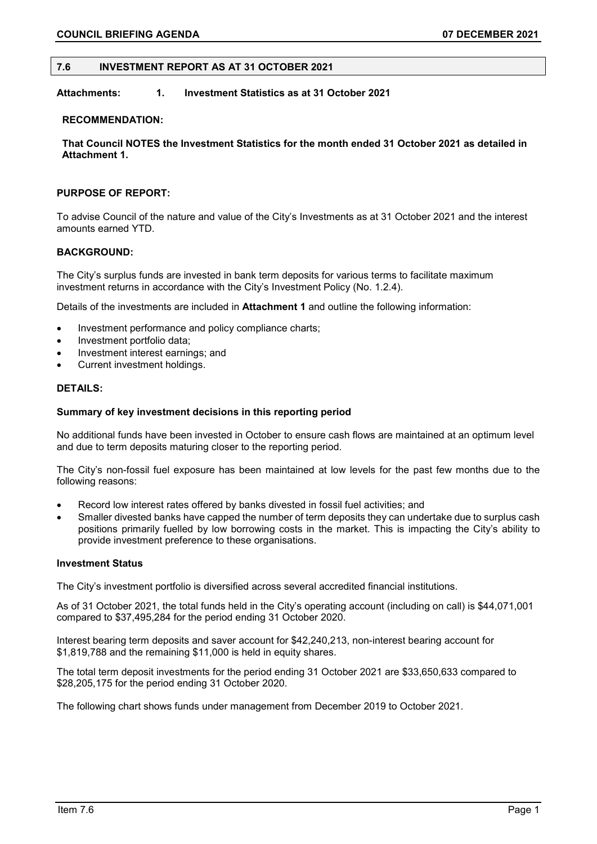#### **7.6 INVESTMENT REPORT AS AT 31 OCTOBER 2021**

# **Attachments: 1. Investment Statistics as at 31 October 2021**

#### **RECOMMENDATION:**

**That Council NOTES the Investment Statistics for the month ended 31 October 2021 as detailed in Attachment 1.**

#### **PURPOSE OF REPORT:**

To advise Council of the nature and value of the City's Investments as at 31 October 2021 and the interest amounts earned YTD.

## **BACKGROUND:**

The City's surplus funds are invested in bank term deposits for various terms to facilitate maximum investment returns in accordance with the City's Investment Policy (No. 1.2.4).

Details of the investments are included in **Attachment 1** and outline the following information:

- Investment performance and policy compliance charts;
- Investment portfolio data;
- Investment interest earnings; and
- Current investment holdings.

#### **DETAILS:**

#### **Summary of key investment decisions in this reporting period**

No additional funds have been invested in October to ensure cash flows are maintained at an optimum level and due to term deposits maturing closer to the reporting period.

The City's non-fossil fuel exposure has been maintained at low levels for the past few months due to the following reasons:

- Record low interest rates offered by banks divested in fossil fuel activities; and
- Smaller divested banks have capped the number of term deposits they can undertake due to surplus cash positions primarily fuelled by low borrowing costs in the market. This is impacting the City's ability to provide investment preference to these organisations.

#### **Investment Status**

The City's investment portfolio is diversified across several accredited financial institutions.

As of 31 October 2021, the total funds held in the City's operating account (including on call) is \$44,071,001 compared to \$37,495,284 for the period ending 31 October 2020.

Interest bearing term deposits and saver account for \$42,240,213, non-interest bearing account for \$1,819,788 and the remaining \$11,000 is held in equity shares.

The total term deposit investments for the period ending 31 October 2021 are \$33,650,633 compared to \$28,205,175 for the period ending 31 October 2020.

The following chart shows funds under management from December 2019 to October 2021.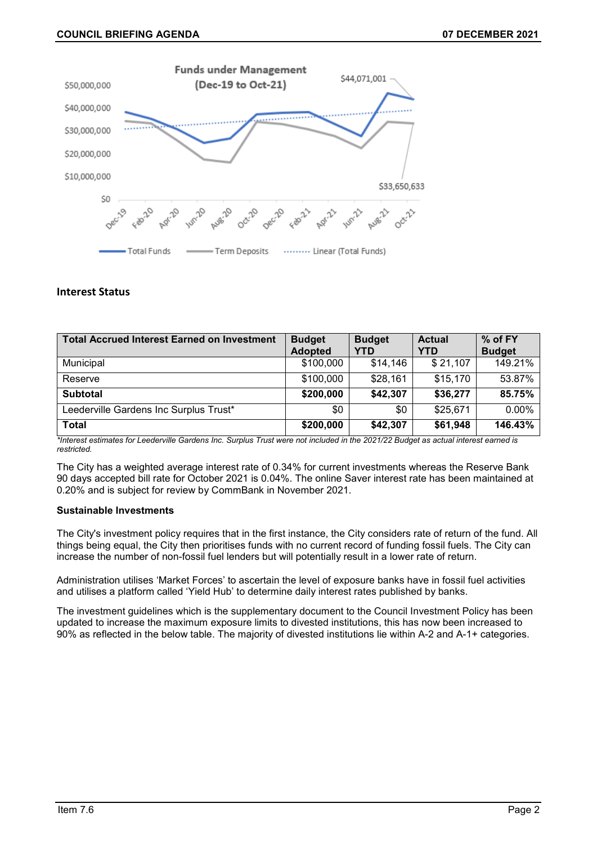

# **Interest Status**

| <b>Total Accrued Interest Earned on Investment</b> | <b>Budget</b>  | <b>Budget</b> | <b>Actual</b> | % of FY       |
|----------------------------------------------------|----------------|---------------|---------------|---------------|
|                                                    | <b>Adopted</b> | <b>YTD</b>    | YTD           | <b>Budget</b> |
| Municipal                                          | \$100,000      | \$14,146      | \$21,107      | 149.21%       |
| Reserve                                            | \$100,000      | \$28,161      | \$15,170      | 53.87%        |
| <b>Subtotal</b>                                    | \$200,000      | \$42,307      | \$36,277      | 85.75%        |
| Leederville Gardens Inc Surplus Trust*             | \$0            | \$0           | \$25,671      | $0.00\%$      |
| <b>Total</b>                                       | \$200,000      | \$42,307      | \$61,948      | 146.43%       |

*\*Interest estimates for Leederville Gardens Inc. Surplus Trust were not included in the 2021/22 Budget as actual interest earned is restricted.*

The City has a weighted average interest rate of 0.34% for current investments whereas the Reserve Bank 90 days accepted bill rate for October 2021 is 0.04%. The online Saver interest rate has been maintained at 0.20% and is subject for review by CommBank in November 2021.

# **Sustainable Investments**

The City's investment policy requires that in the first instance, the City considers rate of return of the fund. All things being equal, the City then prioritises funds with no current record of funding fossil fuels. The City can increase the number of non-fossil fuel lenders but will potentially result in a lower rate of return.

Administration utilises 'Market Forces' to ascertain the level of exposure banks have in fossil fuel activities and utilises a platform called 'Yield Hub' to determine daily interest rates published by banks.

The investment guidelines which is the supplementary document to the Council Investment Policy has been updated to increase the maximum exposure limits to divested institutions, this has now been increased to 90% as reflected in the below table. The majority of divested institutions lie within A-2 and A-1+ categories.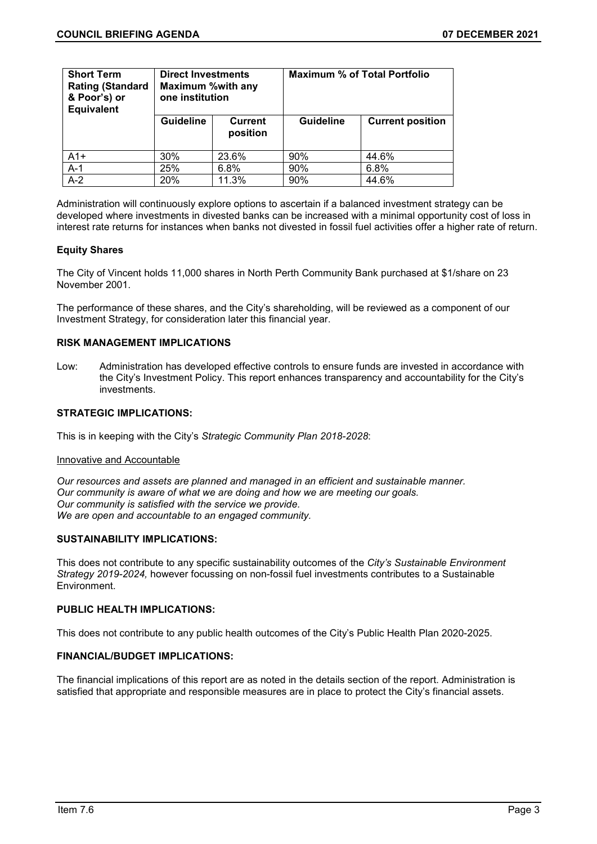| <b>Short Term</b><br><b>Rating (Standard</b><br>& Poor's) or<br><b>Equivalent</b> | <b>Direct Investments</b><br><b>Maximum %with any</b><br>one institution |                            | <b>Maximum % of Total Portfolio</b> |                         |  |
|-----------------------------------------------------------------------------------|--------------------------------------------------------------------------|----------------------------|-------------------------------------|-------------------------|--|
|                                                                                   | <b>Guideline</b>                                                         | <b>Current</b><br>position | <b>Guideline</b>                    | <b>Current position</b> |  |
| $A1+$                                                                             | 30%                                                                      | 23.6%                      | 90%                                 | 44.6%                   |  |
| $A-1$                                                                             | 25%                                                                      | 6.8%                       | 90%                                 | 6.8%                    |  |
| $A-2$                                                                             | 20%                                                                      | 11.3%                      | 90%                                 | 44.6%                   |  |

Administration will continuously explore options to ascertain if a balanced investment strategy can be developed where investments in divested banks can be increased with a minimal opportunity cost of loss in interest rate returns for instances when banks not divested in fossil fuel activities offer a higher rate of return.

## **Equity Shares**

The City of Vincent holds 11,000 shares in North Perth Community Bank purchased at \$1/share on 23 November 2001.

The performance of these shares, and the City's shareholding, will be reviewed as a component of our Investment Strategy, for consideration later this financial year.

## **RISK MANAGEMENT IMPLICATIONS**

Low: Administration has developed effective controls to ensure funds are invested in accordance with the City's Investment Policy. This report enhances transparency and accountability for the City's investments.

# **STRATEGIC IMPLICATIONS:**

This is in keeping with the City's *Strategic Community Plan 2018-2028*:

#### Innovative and Accountable

*Our resources and assets are planned and managed in an efficient and sustainable manner. Our community is aware of what we are doing and how we are meeting our goals. Our community is satisfied with the service we provide. We are open and accountable to an engaged community.*

## **SUSTAINABILITY IMPLICATIONS:**

This does not contribute to any specific sustainability outcomes of the *City's Sustainable Environment Strategy 2019-2024,* however focussing on non-fossil fuel investments contributes to a Sustainable Environment.

## **PUBLIC HEALTH IMPLICATIONS:**

This does not contribute to any public health outcomes of the City's Public Health Plan 2020-2025.

## **FINANCIAL/BUDGET IMPLICATIONS:**

The financial implications of this report are as noted in the details section of the report. Administration is satisfied that appropriate and responsible measures are in place to protect the City's financial assets.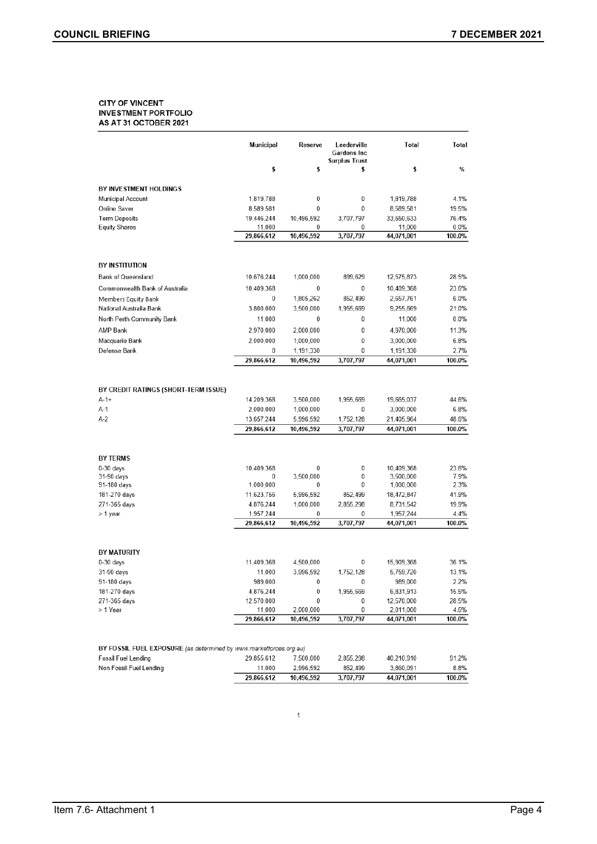#### **CITY OF VINCENT INVESTMENT PORTFOLIO** AS AT 31 OCTOBER 2021

|                                      | <b>Municipal</b>        | Reserve                 | Leederville<br>Gardens Inc<br><b>Surplus Trust</b> | Total                   | Total          |
|--------------------------------------|-------------------------|-------------------------|----------------------------------------------------|-------------------------|----------------|
|                                      | \$                      | \$                      | \$                                                 | \$                      | %              |
| BY INVESTMENT HOLDINGS               |                         |                         |                                                    |                         |                |
| Municipal Account                    | 1,819,788               | 0                       | 0                                                  | 1,819,788               | 4.1%           |
| Online Saver                         | 8,589,581               | $\mathbf 0$             | 0                                                  | 8,589,581               | 19.5%          |
| <b>Term Deposits</b>                 | 19,446,244              | 10,496,592              | 3,707,797                                          | 33,650,633              | 76.4%          |
| <b>Equity Shares</b>                 | 11,000                  | 0                       | 0                                                  | 11,000                  | 0.0%           |
|                                      | 29,866,612              | 10,496,592              | 3,707,797                                          | 44,071,001              | 100.0%         |
| <b>BY INSTITUTION</b>                |                         |                         |                                                    |                         |                |
|                                      |                         |                         |                                                    |                         |                |
| Bank of Queensland                   | 10,676,244              | 1,000,000               | 899,629                                            | 12,575,873              | 28.5%          |
| Commonwealth Bank of Australia       | 10,409,368              | $\mathbf{0}$            | $\mathbf{0}$                                       | 10,409,368              | 23.6%          |
| Members Equity Bank                  | 0                       | 1,805,262               | 852.499                                            | 2.657.761               | 6.0%           |
| National Australia Bank              | 3,800,000               | 3,500,000               | 1,955,669                                          | 9,255,669               | 21.0%          |
| North Perth Community Bank           | 11,000                  | $\mathbf{0}$            | $\bf{0}$                                           | 11,000                  | 0.0%           |
| <b>AMP Bank</b>                      | 2,970,000               | 2,000,000               | $\theta$                                           | 4,970,000               | 11.3%          |
| Macquarie Bank                       | 2,000,000               | 1,000,000               | $\bf{0}$                                           | 3,000,000               | 6.8%           |
| Defense Bank                         | 0<br>29,866,612         | 1,191,330<br>10,496,592 | $\bf{0}$<br>3,707,797                              | 1,191,330<br>44,071,001 | 2.7%<br>100.0% |
|                                      |                         |                         |                                                    |                         |                |
| BY CREDIT RATINGS (SHORT-TERM ISSUE) |                         |                         |                                                    |                         |                |
| $A-1+$                               | 14,209,368              | 3.500.000               | 1.955.669                                          | 19,665.037              | 44.6%          |
| A-1<br>$A-2$                         | 2,000,000<br>13,657,244 | 1,000,000<br>5,996,592  | 0<br>1,752,128                                     | 3,000,000<br>21,405,964 | 6.8%<br>48.6%  |
|                                      | 29,866,612              | 10,496,592              | 3,707,797                                          | 44,071,001              | 100.0%         |
|                                      |                         |                         |                                                    |                         |                |
| <b>BY TERMS</b>                      |                         |                         |                                                    |                         |                |
| $0-30$ days                          | 10,409,368              | 0                       | 0                                                  | 10,409,368              | 23.6%          |
| 31-90 days                           | 0                       | 3,500,000               | 0                                                  | 3,500,000               | 7.9%           |
| 91-180 days                          | 1,000,000               | 0                       | 0                                                  | 1,000,000               | 2.3%           |
| 181-270 days                         | 11,623,756              | 5.996.592               | 852.499                                            | 18,472,847              | 41.9%          |
| 271-365 days<br>> 1 year             | 4,876,244<br>1,957,244  | 1,000,000<br>0          | 2,855,298<br>0                                     | 8,731,542<br>1,957,244  | 19.9%<br>4.4%  |
|                                      | 29,866,612              | 10,496,592              | 3,707,797                                          | 44,071,001              | 100.0%         |
|                                      |                         |                         |                                                    |                         |                |
| <b>BY MATURITY</b>                   |                         |                         |                                                    |                         |                |
| $0-30$ days                          | 11,409,368              | 4.500,000               | $\mathbf 0$                                        | 15,909,368              | 36.1%          |
| 31-90 days                           | 11,000                  | 3,996,592               | 1,752,128                                          | 5,759,720               | 13.1%          |
| 91-180 days                          | 989,000                 | $\bf{0}$                | $\bf{0}$                                           | 989,000                 | 2.2%           |
| 181-270 days                         | 4,876,244               | $\boldsymbol{0}$        | 1,955,669                                          | 6,831,913               | 15.5%          |
| 271-365 days                         | 12,570,000              | $\bf{0}$                | $\mathbf{0}$                                       | 12,570,000              | 28.5%          |
| > 1 Year                             | 11,000<br>29,866,612    | 2,000,000<br>10,496,592 | $\mathbf{0}$<br>3,707,797                          | 2,011,000<br>44,071,001 | 4.6%<br>100.0% |
|                                      |                         |                         |                                                    |                         |                |

|                                                                    | 29.866.612 | 10.496.592 | 3.707.797 | 44,071,001 | 100.0% |
|--------------------------------------------------------------------|------------|------------|-----------|------------|--------|
| Non Fossil Fuel Lending                                            | 11.000     | 2.996.592  | 852.499   | 3.860.091  | 8.8%   |
| Fossil Fuel Lending                                                | 29.855.612 | 7.500.000  | 2.855.298 | 40.210.910 | 91.2%  |
| BY FOSSIL FUEL EXPOSURE (as determined by www.marketforces.org.au) |            |            |           |            |        |

 $\mathbf{1}$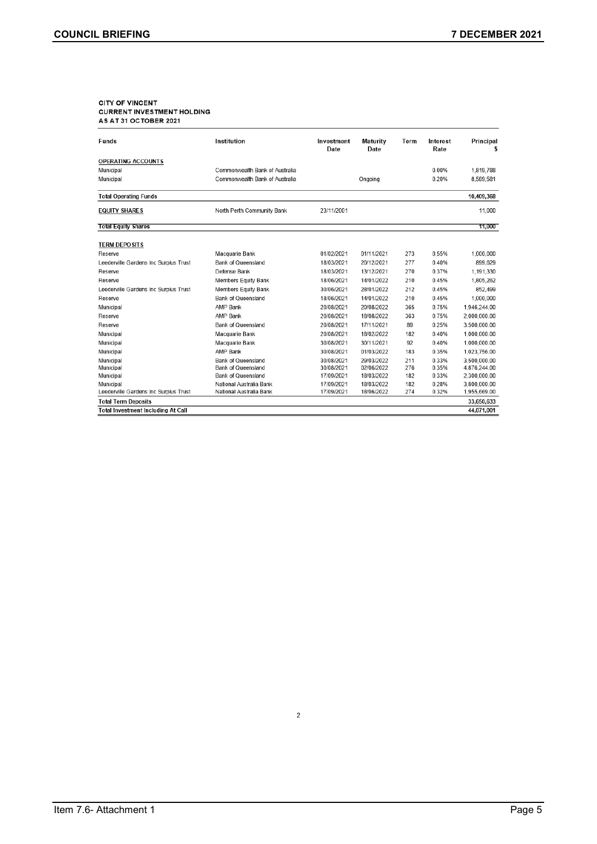# CITY OF VINCENT<br>CURRENT INVESTMENT HOLDING<br>AS AT 31 OCTOBER 2021

| Funds                                     | Institution                    | Investment<br>Date | <b>Maturity</b><br>Date | Term | Interest<br>Rate | Principal<br>5 |
|-------------------------------------------|--------------------------------|--------------------|-------------------------|------|------------------|----------------|
| <b>OPERATING ACCOUNTS</b>                 |                                |                    |                         |      |                  |                |
| Municipal                                 | Commonwealth Bank of Australia |                    |                         |      | 0.00%            | 1,819,788      |
| Municipal                                 | Commonwealth Bank of Australia |                    | Ongoing                 |      | 0.20%            | 8,589,581      |
| <b>Total Operating Funds</b>              |                                |                    |                         |      |                  | 10,409,368     |
| <b>EQUITY SHARES</b>                      | North Perth Community Bank     | 23/11/2001         |                         |      |                  | 11,000         |
| <b>Total Equity Shares</b>                |                                |                    |                         |      |                  | 11,000         |
| <b>TERM DEPOSITS</b>                      |                                |                    |                         |      |                  |                |
| Reserve                                   | Macquarie Bank                 | 01/02/2021         | 01/11/2021              | 273  | 0.55%            | 1,000,000      |
| Leederville Gardens Inc Surplus Trust     | <b>Bank of Queensland</b>      | 18/03/2021         | 20/12/2021              | 277  | 0.40%            | 899,629        |
| Reserve                                   | Defense Bank                   | 18/03/2021         | 13/12/2021              | 270  | 0.37%            | 1.191.330      |
| Reserve                                   | <b>Members Equity Bank</b>     | 18/06/2021         | 14/01/2022              | 210  | 0.45%            | 1,805,262      |
| Leederville Gardens Inc Surplus Trust     | Members Equity Bank            | 30/06/2021         | 28/01/2022              | 212  | 0.45%            | 852.499        |
| Reserve                                   | <b>Bank of Queensland</b>      | 18/06/2021         | 14/01/2022              | 210  | 0.45%            | 1,000,000      |
| Municipal                                 | AMP Bank                       | 20/08/2021         | 20/08/2022              | 365  | 0.75%            | 1,946,244.00   |
| Reserve                                   | AMP Bank                       | 20/08/2021         | 18/08/2022              | 363  | 0.75%            | 2.000.000.00   |
| Reserve                                   | Bank of Queensland             | 20/08/2021         | 17/11/2021              | 89   | 0.25%            | 3,500,000.00   |
| Municipal                                 | Macquarie Bank                 | 20/08/2021         | 18/02/2022              | 182  | 0.40%            | 1,000,000.00   |
| Municipal                                 | Macquarie Bank                 | 30/08/2021         | 30/11/2021              | 92   | 0.40%            | 1,000,000.00   |
| Municipal                                 | AMP Bank                       | 30/08/2021         | 01/03/2022              | 183  | 0.35%            | 1.023.756.00   |
| Municipal                                 | <b>Bank of Queensland</b>      | 30/08/2021         | 29/03/2022              | 211  | 0.33%            | 3,500,000.00   |
| Municipal                                 | Bank of Queensland             | 30/08/2021         | 02/06/2022              | 276  | 0.35%            | 4,876,244.00   |
| Municipal                                 | Bank of Queensland             | 17/09/2021         | 18/03/2022              | 182  | 0.33%            | 2,300,000.00   |
| Municipal                                 | National Australia Bank        | 17/09/2021         | 18/03/2022              | 182  | 0.28%            | 3,800,000.00   |
| Leederville Gardens Inc Surplus Trust     | National Australia Bank        | 17/09/2021         | 18/06/2022              | 274  | 0.32%            | 1,955,669.00   |
| <b>Total Term Deposits</b>                |                                |                    |                         |      |                  | 33,650,633     |
| <b>Total Investment Including At Call</b> |                                |                    |                         |      |                  | 44,071,001     |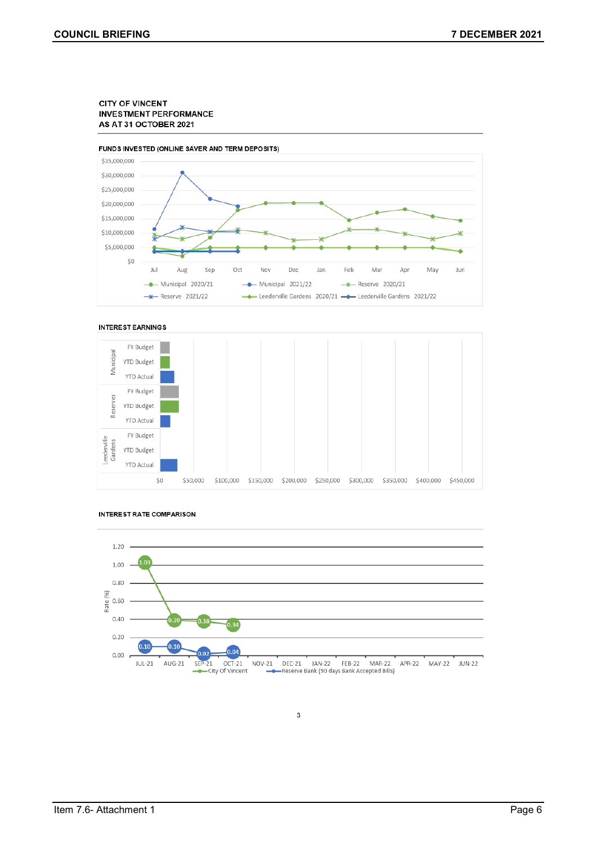#### **CITY OF VINCENT INVESTMENT PERFORMANCE** AS AT 31 OCTOBER 2021



#### **INTEREST EARNINGS**





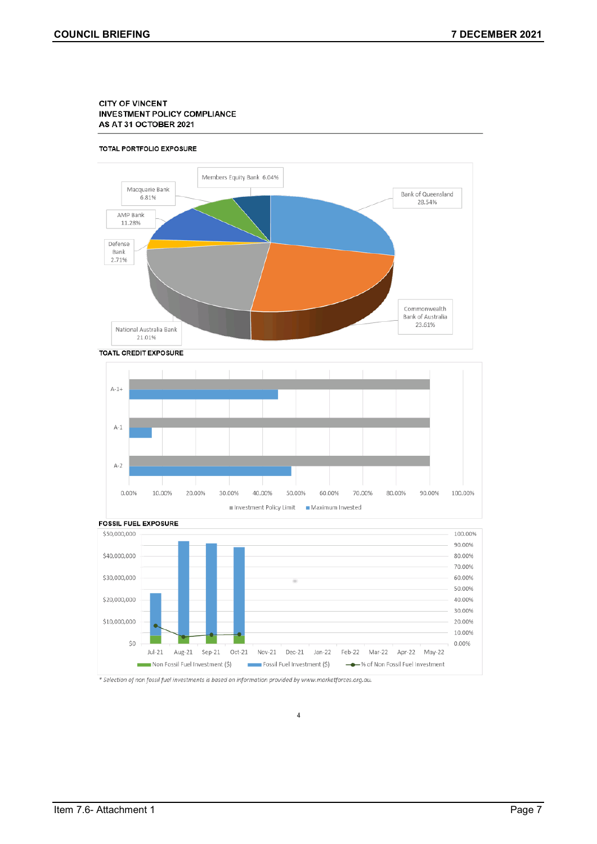#### **CITY OF VINCENT INVESTMENT POLICY COMPLIANCE** AS AT 31 OCTOBER 2021

#### TOTAL PORTFOLIO EXPOSURE









 $\overline{4}$ 

\* Selection of non fossil fuel investments is based on information provided by www.marketforces.org.au.